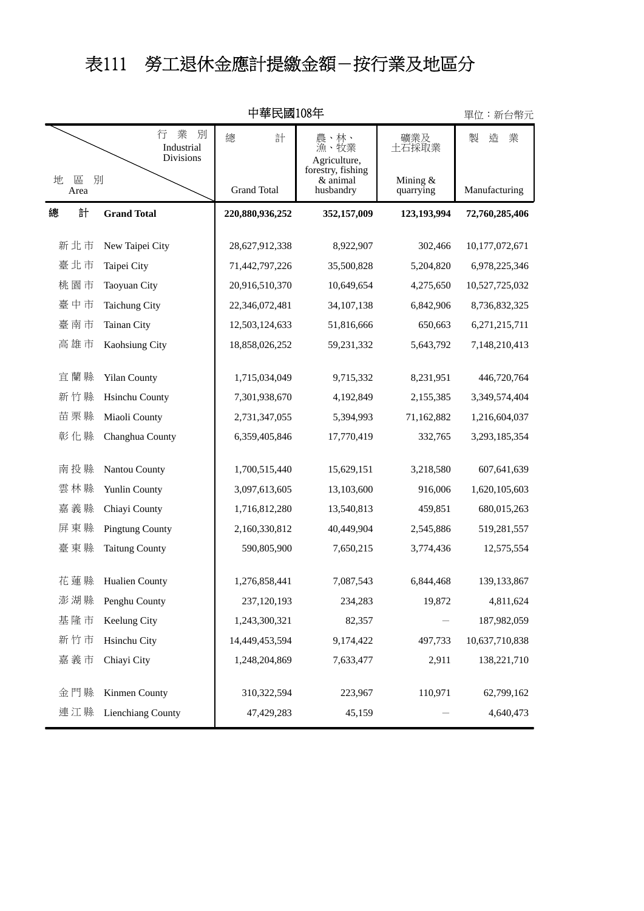## 表111 勞工退休金應計提繳金額-按行業及地區分

|                | 中華民國108年                               |                 |                                                   |                         | 單位:新台幣元        |
|----------------|----------------------------------------|-----------------|---------------------------------------------------|-------------------------|----------------|
|                | 業<br>別<br>行<br>Industrial<br>Divisions | 總<br>計          | 農、林、<br>漁、牧業<br>Agriculture,<br>forestry, fishing | 礦業及<br>土石採取業            | 製<br>造<br>業    |
| 地<br>區<br>Area | 別                                      |                 | & animal<br>husbandry                             | Mining $&$<br>quarrying | Manufacturing  |
| 計<br>總         | <b>Grand Total</b>                     | 220,880,936,252 | 352,157,009                                       | 123,193,994             | 72,760,285,406 |
| 新北市            | New Taipei City                        | 28,627,912,338  | 8,922,907                                         | 302,466                 | 10,177,072,671 |
| 臺北市            | Taipei City                            | 71,442,797,226  | 35,500,828                                        | 5,204,820               | 6,978,225,346  |
| 桃園市            | Taoyuan City                           | 20,916,510,370  | 10,649,654                                        | 4,275,650               | 10,527,725,032 |
| 臺中市            | <b>Taichung City</b>                   | 22,346,072,481  | 34, 107, 138                                      | 6,842,906               | 8,736,832,325  |
| 臺南市            | Tainan City                            | 12,503,124,633  | 51,816,666                                        | 650,663                 | 6,271,215,711  |
| 高雄市            | Kaohsiung City                         | 18,858,026,252  | 59,231,332                                        | 5,643,792               | 7,148,210,413  |
| 宜蘭縣            | <b>Yilan County</b>                    | 1,715,034,049   | 9,715,332                                         | 8,231,951               | 446,720,764    |
| 新竹縣            | <b>Hsinchu County</b>                  | 7,301,938,670   | 4,192,849                                         | 2,155,385               | 3,349,574,404  |
| 苗栗縣            | Miaoli County                          | 2,731,347,055   | 5,394,993                                         | 71,162,882              | 1,216,604,037  |
| 彰化縣            | Changhua County                        | 6,359,405,846   | 17,770,419                                        | 332,765                 | 3,293,185,354  |
| 南投縣            | Nantou County                          | 1,700,515,440   | 15,629,151                                        | 3,218,580               | 607,641,639    |
| 雲林縣            | Yunlin County                          | 3,097,613,605   | 13,103,600                                        | 916,006                 | 1,620,105,603  |
| 嘉義縣            | Chiayi County                          | 1,716,812,280   | 13,540,813                                        | 459,851                 | 680,015,263    |
| 屏東縣            | <b>Pingtung County</b>                 | 2,160,330,812   | 40,449,904                                        | 2,545,886               | 519,281,557    |
| 臺東縣            | <b>Taitung County</b>                  | 590,805,900     | 7,650,215                                         | 3,774,436               | 12,575,554     |
| 花蓮縣            | Hualien County                         | 1,276,858,441   | 7,087,543                                         | 6,844,468               | 139, 133, 867  |
| 澎湖縣            | Penghu County                          | 237,120,193     | 234,283                                           | 19,872                  | 4,811,624      |
| 基隆市            | Keelung City                           | 1,243,300,321   | 82,357                                            |                         | 187,982,059    |
| 新竹市            | Hsinchu City                           | 14,449,453,594  | 9,174,422                                         | 497,733                 | 10,637,710,838 |
| 嘉義市            | Chiayi City                            | 1,248,204,869   | 7,633,477                                         | 2,911                   | 138,221,710    |
| 金門縣            | Kinmen County                          | 310,322,594     | 223,967                                           | 110,971                 | 62,799,162     |
| 連江縣            | Lienchiang County                      | 47,429,283      | 45,159                                            |                         | 4,640,473      |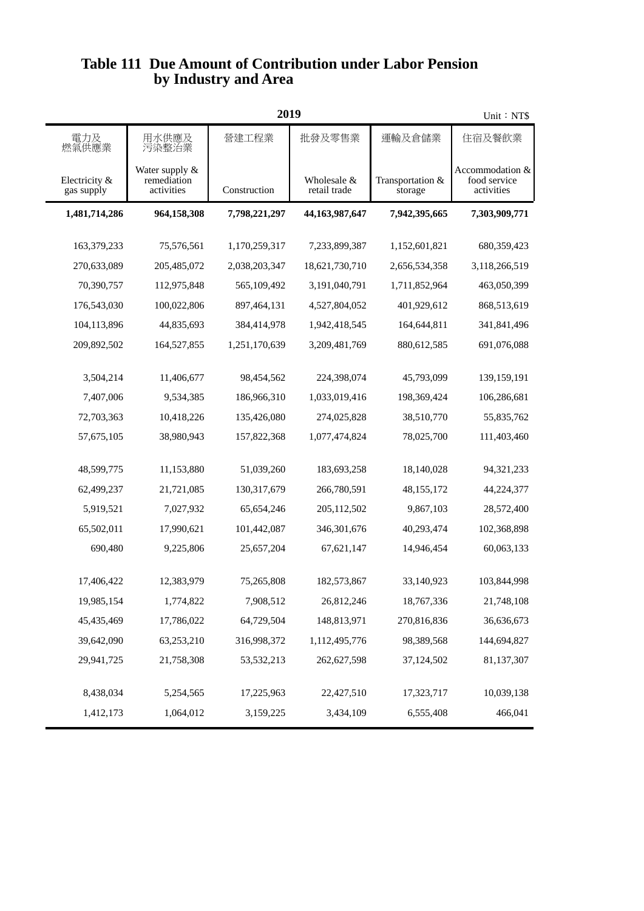## **by Industry and Area Table 111 Due Amount of Contribution under Labor Pension**

| 2019                        |                                             |               |                             |                             | Unit: NT\$                                    |
|-----------------------------|---------------------------------------------|---------------|-----------------------------|-----------------------------|-----------------------------------------------|
| 電力及<br>燃氣供應業                | 用水供應及<br>污染整治業                              | 營建工程業         | 批發及零售業                      | 運輸及倉儲業                      | 住宿及餐飲業                                        |
| Electricity &<br>gas supply | Water supply &<br>remediation<br>activities | Construction  | Wholesale &<br>retail trade | Transportation &<br>storage | Accommodation &<br>food service<br>activities |
| 1,481,714,286               | 964,158,308                                 | 7,798,221,297 | 44,163,987,647              | 7,942,395,665               | 7,303,909,771                                 |
| 163,379,233                 | 75,576,561                                  | 1,170,259,317 | 7,233,899,387               | 1,152,601,821               | 680,359,423                                   |
| 270,633,089                 | 205,485,072                                 | 2,038,203,347 | 18,621,730,710              | 2,656,534,358               | 3,118,266,519                                 |
| 70,390,757                  | 112,975,848                                 | 565,109,492   | 3,191,040,791               | 1,711,852,964               | 463,050,399                                   |
| 176,543,030                 | 100,022,806                                 | 897,464,131   | 4,527,804,052               | 401,929,612                 | 868,513,619                                   |
| 104,113,896                 | 44,835,693                                  | 384,414,978   | 1,942,418,545               | 164,644,811                 | 341,841,496                                   |
| 209,892,502                 | 164,527,855                                 | 1,251,170,639 | 3,209,481,769               | 880,612,585                 | 691,076,088                                   |
|                             |                                             |               |                             |                             |                                               |
| 3,504,214                   | 11,406,677                                  | 98,454,562    | 224,398,074                 | 45,793,099                  | 139,159,191                                   |
| 7,407,006                   | 9,534,385                                   | 186,966,310   | 1,033,019,416               | 198,369,424                 | 106,286,681                                   |
| 72,703,363                  | 10,418,226                                  | 135,426,080   | 274,025,828                 | 38,510,770                  | 55,835,762                                    |
| 57,675,105                  | 38,980,943                                  | 157,822,368   | 1,077,474,824               | 78,025,700                  | 111,403,460                                   |
| 48,599,775                  | 11,153,880                                  | 51,039,260    | 183,693,258                 | 18,140,028                  | 94,321,233                                    |
| 62,499,237                  | 21,721,085                                  | 130,317,679   | 266,780,591                 | 48, 155, 172                | 44,224,377                                    |
| 5,919,521                   | 7,027,932                                   | 65,654,246    | 205,112,502                 | 9,867,103                   | 28,572,400                                    |
| 65,502,011                  | 17,990,621                                  | 101,442,087   | 346, 301, 676               | 40,293,474                  | 102,368,898                                   |
| 690,480                     | 9,225,806                                   | 25,657,204    | 67,621,147                  | 14,946,454                  | 60,063,133                                    |
|                             |                                             |               |                             |                             |                                               |
| 17,406,422                  | 12,383,979                                  | 75,265,808    | 182,573,867                 | 33,140,923                  | 103,844,998                                   |
| 19,985,154                  | 1,774,822                                   | 7,908,512     | 26,812,246                  | 18,767,336                  | 21,748,108                                    |
| 45,435,469                  | 17,786,022                                  | 64,729,504    | 148,813,971                 | 270,816,836                 | 36,636,673                                    |
| 39,642,090                  | 63,253,210                                  | 316,998,372   | 1,112,495,776               | 98,389,568                  | 144,694,827                                   |
| 29,941,725                  | 21,758,308                                  | 53,532,213    | 262,627,598                 | 37,124,502                  | 81,137,307                                    |
|                             |                                             |               |                             |                             |                                               |
| 8,438,034                   | 5,254,565                                   | 17,225,963    | 22,427,510                  | 17,323,717                  | 10,039,138                                    |
| 1,412,173                   | 1,064,012                                   | 3,159,225     | 3,434,109                   | 6,555,408                   | 466,041                                       |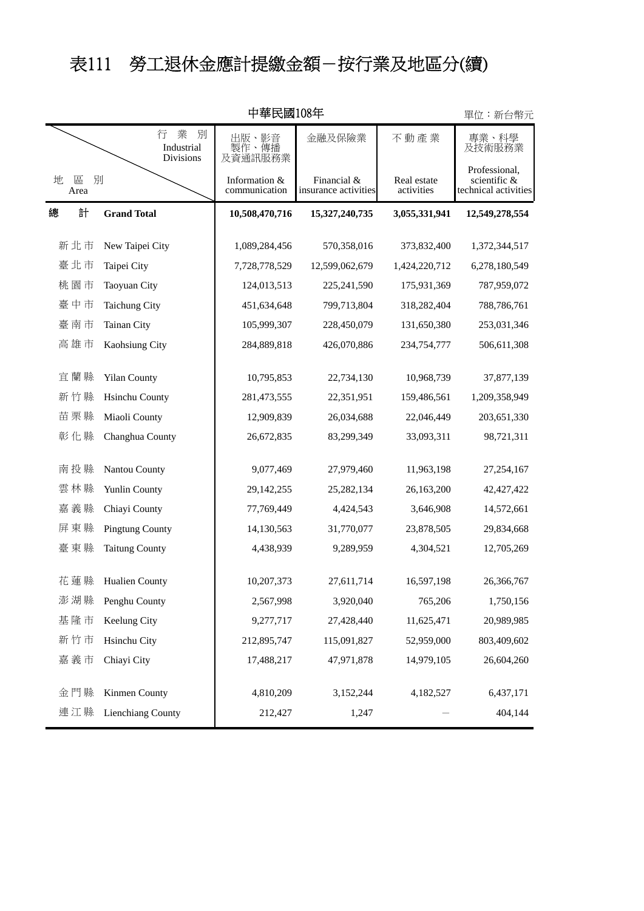## 表111 勞工退休金應計提繳金額-按行業及地區分(續)

| 中華民國108年       |                                               |                                |                                     | 單位:新台幣元                   |                                                       |
|----------------|-----------------------------------------------|--------------------------------|-------------------------------------|---------------------------|-------------------------------------------------------|
|                | 業<br>行<br>別<br>Industrial<br><b>Divisions</b> | 出版、<br>影音<br>製作、傳播<br>及資通訊服務業  | 金融及保險業                              | 不動產業                      | 專業、科學<br>及技術服務業                                       |
| 地<br>區<br>Area | 別                                             | Information &<br>communication | Financial &<br>insurance activities | Real estate<br>activities | Professional,<br>scientific &<br>technical activities |
| 計<br>總         | <b>Grand Total</b>                            | 10,508,470,716                 | 15,327,240,735                      | 3,055,331,941             | 12,549,278,554                                        |
| 新北市            | New Taipei City                               | 1,089,284,456                  | 570,358,016                         | 373,832,400               | 1,372,344,517                                         |
| 臺北市            | Taipei City                                   | 7,728,778,529                  | 12,599,062,679                      | 1,424,220,712             | 6,278,180,549                                         |
| 桃園市            | Taoyuan City                                  | 124,013,513                    | 225,241,590                         | 175,931,369               | 787,959,072                                           |
| 臺中市            | <b>Taichung City</b>                          | 451,634,648                    | 799,713,804                         | 318,282,404               | 788,786,761                                           |
| 臺南市            | Tainan City                                   | 105,999,307                    | 228,450,079                         | 131,650,380               | 253,031,346                                           |
| 高雄市            | Kaohsiung City                                | 284,889,818                    | 426,070,886                         | 234,754,777               | 506,611,308                                           |
| 宜蘭縣            | <b>Yilan County</b>                           | 10,795,853                     | 22,734,130                          | 10,968,739                | 37,877,139                                            |
| 新竹縣            | <b>Hsinchu County</b>                         | 281,473,555                    | 22,351,951                          | 159,486,561               | 1,209,358,949                                         |
| 苗栗縣            | Miaoli County                                 | 12,909,839                     | 26,034,688                          | 22,046,449                | 203,651,330                                           |
| 彰化縣            | Changhua County                               | 26,672,835                     | 83,299,349                          | 33,093,311                | 98,721,311                                            |
| 南投縣            | Nantou County                                 | 9,077,469                      | 27,979,460                          | 11,963,198                | 27,254,167                                            |
| 雲林縣            | Yunlin County                                 | 29,142,255                     | 25,282,134                          | 26,163,200                | 42, 427, 422                                          |
| 嘉義縣            | Chiayi County                                 | 77,769,449                     | 4,424,543                           | 3,646,908                 | 14,572,661                                            |
| 屏東縣            | <b>Pingtung County</b>                        | 14,130,563                     | 31,770,077                          | 23,878,505                | 29,834,668                                            |
| 臺東縣            | <b>Taitung County</b>                         | 4,438,939                      | 9,289,959                           | 4,304,521                 | 12,705,269                                            |
| 花蓮縣            | Hualien County                                | 10,207,373                     | 27,611,714                          | 16,597,198                | 26,366,767                                            |
| 澎湖縣            | Penghu County                                 | 2,567,998                      | 3,920,040                           | 765,206                   | 1,750,156                                             |
| 基隆市            | Keelung City                                  | 9,277,717                      | 27,428,440                          | 11,625,471                | 20,989,985                                            |
| 新竹市            | Hsinchu City                                  | 212,895,747                    | 115,091,827                         | 52,959,000                | 803,409,602                                           |
| 嘉義市            | Chiayi City                                   | 17,488,217                     | 47,971,878                          | 14,979,105                | 26,604,260                                            |
| 金門縣            | Kinmen County                                 | 4,810,209                      | 3,152,244                           | 4,182,527                 | 6,437,171                                             |
| 連江縣            | Lienchiang County                             | 212,427                        | 1,247                               |                           | 404,144                                               |